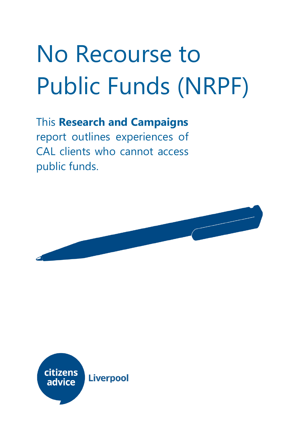# No Recourse to Public Funds (NRPF)

# This **Research and Campaigns**

report outlines experiences of CAL clients who cannot access public funds.



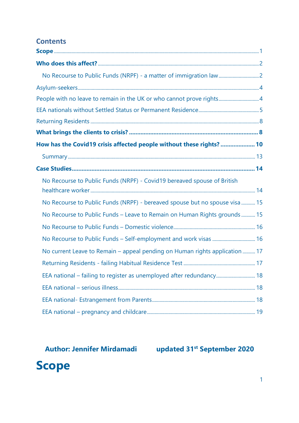### **Contents**

| People with no leave to remain in the UK or who cannot prove rights 4       |  |
|-----------------------------------------------------------------------------|--|
|                                                                             |  |
|                                                                             |  |
|                                                                             |  |
| How has the Covid19 crisis affected people without these rights?  10        |  |
|                                                                             |  |
|                                                                             |  |
| No Recourse to Public Funds (NRPF) - Covid19 bereaved spouse of British     |  |
| No Recourse to Public Funds (NRPF) - bereaved spouse but no spouse visa  15 |  |
| No Recourse to Public Funds - Leave to Remain on Human Rights grounds  15   |  |
|                                                                             |  |
|                                                                             |  |
| No current Leave to Remain - appeal pending on Human rights application  17 |  |
|                                                                             |  |
| EEA national – failing to register as unemployed after redundancy 18        |  |
|                                                                             |  |
|                                                                             |  |
|                                                                             |  |

**Author: Jennifer Mirdamadi updated 31st September 2020**

<span id="page-1-0"></span>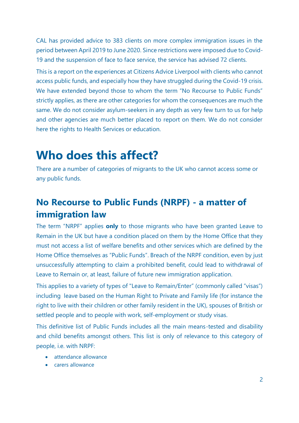CAL has provided advice to 383 clients on more complex immigration issues in the period between April 2019 to June 2020. Since restrictions were imposed due to Covid-19 and the suspension of face to face service, the service has advised 72 clients.

This is a report on the experiences at Citizens Advice Liverpool with clients who cannot access public funds, and especially how they have struggled during the Covid-19 crisis. We have extended beyond those to whom the term "No Recourse to Public Funds" strictly applies, as there are other categories for whom the consequences are much the same. We do not consider asylum-seekers in any depth as very few turn to us for help and other agencies are much better placed to report on them. We do not consider here the rights to Health Services or education.

# <span id="page-2-0"></span>**Who does this affect?**

There are a number of categories of migrants to the UK who cannot access some or any public funds.

# <span id="page-2-1"></span>**No Recourse to Public Funds (NRPF) - a matter of immigration law**

The term "NRPF" applies **only** to those migrants who have been granted Leave to Remain in the UK but have a condition placed on them by the Home Office that they must not access a list of welfare benefits and other services which are defined by the Home Office themselves as "Public Funds". Breach of the NRPF condition, even by just unsuccessfully attempting to claim a prohibited benefit, could lead to withdrawal of Leave to Remain or, at least, failure of future new immigration application.

This applies to a variety of types of "Leave to Remain/Enter" (commonly called "visas") including leave based on the Human Right to Private and Family life (for instance the right to live with their children or other family resident in the UK), spouses of British or settled people and to people with work, self-employment or study visas.

This definitive list of Public Funds includes all the main means-tested and disability and child benefits amongst others. This list is only of relevance to this category of people, i.e. with NRPF:

- attendance allowance
- carers allowance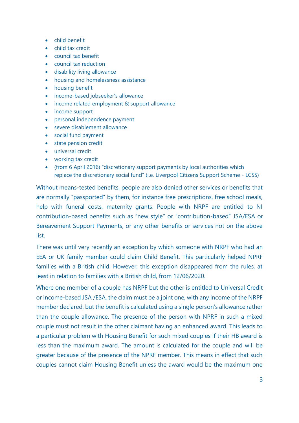- child benefit
- child tax credit
- council tax benefit
- council tax reduction
- disability living allowance
- housing and homelessness assistance
- housing benefit
- income-based jobseeker's allowance
- income related employment & support allowance
- income support
- personal independence payment
- severe disablement allowance
- social fund payment
- state pension credit
- universal credit
- working tax credit
- (from 6 April 2016) "discretionary support payments by local authorities which replace the discretionary social fund" (i.e. Liverpool Citizens Support Scheme - LCSS)

Without means-tested benefits, people are also denied other services or benefits that are normally "passported" by them, for instance free prescriptions, free school meals, help with funeral costs, maternity grants. People with NRPF are entitled to NI contribution-based benefits such as "new style" or "contribution-based" JSA/ESA or Bereavement Support Payments, or any other benefits or services not on the above list.

There was until very recently an exception by which someone with NRPF who had an EEA or UK family member could claim Child Benefit. This particularly helped NPRF families with a British child. However, this exception disappeared from the rules, at least in relation to families with a British child, from 12/06/2020.

Where one member of a couple has NRPF but the other is entitled to Universal Credit or income-based JSA /ESA, the claim must be a joint one, with any income of the NRPF member declared, but the benefit is calculated using a single person's allowance rather than the couple allowance. The presence of the person with NPRF in such a mixed couple must not result in the other claimant having an enhanced award. This leads to a particular problem with Housing Benefit for such mixed couples if their HB award is less than the maximum award. The amount is calculated for the couple and will be greater because of the presence of the NPRF member. This means in effect that such couples cannot claim Housing Benefit unless the award would be the maximum one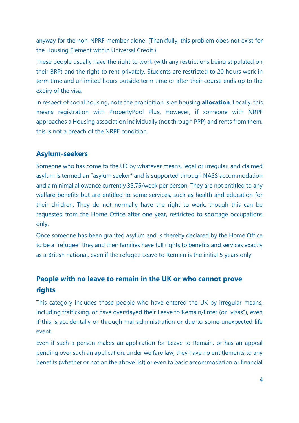anyway for the non-NPRF member alone. (Thankfully, this problem does not exist for the Housing Element within Universal Credit.)

These people usually have the right to work (with any restrictions being stipulated on their BRP) and the right to rent privately. Students are restricted to 20 hours work in term time and unlimited hours outside term time or after their course ends up to the expiry of the visa.

In respect of social housing, note the prohibition is on housing **allocation**. Locally, this means registration with PropertyPool Plus. However, if someone with NRPF approaches a Housing association individually (not through PPP) and rents from them, this is not a breach of the NRPF condition.

#### <span id="page-4-0"></span>**Asylum-seekers**

Someone who has come to the UK by whatever means, legal or irregular, and claimed asylum is termed an "asylum seeker" and is supported through NASS accommodation and a minimal allowance currently 35.75/week per person. They are not entitled to any welfare benefits but are entitled to some services, such as health and education for their children. They do not normally have the right to work, though this can be requested from the Home Office after one year, restricted to shortage occupations only.

Once someone has been granted asylum and is thereby declared by the Home Office to be a "refugee" they and their families have full rights to benefits and services exactly as a British national, even if the refugee Leave to Remain is the initial 5 years only.

### <span id="page-4-1"></span>**People with no leave to remain in the UK or who cannot prove rights**

This category includes those people who have entered the UK by irregular means, including trafficking, or have overstayed their Leave to Remain/Enter (or "visas"), even if this is accidentally or through mal-administration or due to some unexpected life event.

Even if such a person makes an application for Leave to Remain, or has an appeal pending over such an application, under welfare law, they have no entitlements to any benefits (whether or not on the above list) or even to basic accommodation or financial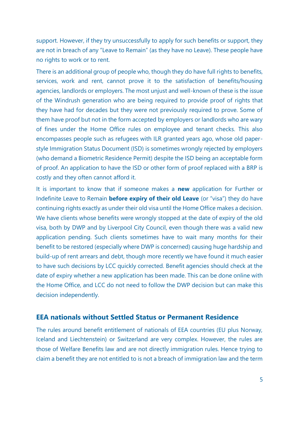support. However, if they try unsuccessfully to apply for such benefits or support, they are not in breach of any "Leave to Remain" (as they have no Leave). These people have no rights to work or to rent.

There is an additional group of people who, though they do have full rights to benefits, services, work and rent, cannot prove it to the satisfaction of benefits/housing agencies, landlords or employers. The most unjust and well-known of these is the issue of the Windrush generation who are being required to provide proof of rights that they have had for decades but they were not previously required to prove. Some of them have proof but not in the form accepted by employers or landlords who are wary of fines under the Home Office rules on employee and tenant checks. This also encompasses people such as refugees with ILR granted years ago, whose old paperstyle Immigration Status Document (ISD) is sometimes wrongly rejected by employers (who demand a Biometric Residence Permit) despite the ISD being an acceptable form of proof. An application to have the ISD or other form of proof replaced with a BRP is costly and they often cannot afford it.

It is important to know that if someone makes a **new** application for Further or Indefinite Leave to Remain **before expiry of their old Leave** (or "visa") they do have continuing rights exactly as under their old visa until the Home Office makes a decision. We have clients whose benefits were wrongly stopped at the date of expiry of the old visa, both by DWP and by Liverpool City Council, even though there was a valid new application pending. Such clients sometimes have to wait many months for their benefit to be restored (especially where DWP is concerned) causing huge hardship and build-up of rent arrears and debt, though more recently we have found it much easier to have such decisions by LCC quickly corrected. Benefit agencies should check at the date of expiry whether a new application has been made. This can be done online with the Home Office, and LCC do not need to follow the DWP decision but can make this decision independently.

#### <span id="page-5-0"></span>**EEA nationals without Settled Status or Permanent Residence**

The rules around benefit entitlement of nationals of EEA countries (EU plus Norway, Iceland and Liechtenstein) or Switzerland are very complex. However, the rules are those of Welfare Benefits law and are not directly immigration rules. Hence trying to claim a benefit they are not entitled to is not a breach of immigration law and the term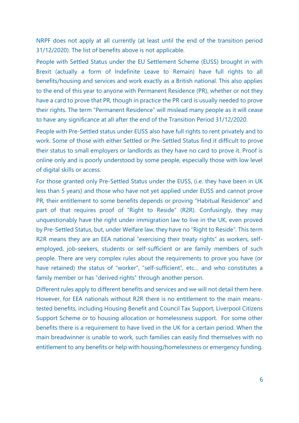NRPF does not apply at all currently (at least until the end of the transition period 31/12/2020). The list of benefits above is not applicable.

People with Settled Status under the EU Settlement Scheme (EUSS) brought in with Brexit (actually a form of Indefinite Leave to Remain) have full rights to all benefits/housing and services and work exactly as a British national. This also applies to the end of this year to anyone with Permanent Residence (PR), whether or not they have a card to prove that PR, though in practice the PR card is usually needed to prove their rights. The term "Permanent Residence" will mislead many people as it will cease to have any significance at all after the end of the Transition Period 31/12/2020.

People with Pre-Settled status under EUSS also have full rights to rent privately and to work. Some of those with either Settled or Pre-Settled Status find it difficult to prove their status to small employers or landlords as they have no card to prove it. Proof is online only and is poorly understood by some people, especially those with low level of digital skills or access.

For those granted only Pre-Settled Status under the EUSS, (i.e. they have been in UK less than 5 years) and those who have not yet applied under EUSS and cannot prove PR, their entitlement to some benefits depends or proving "Habitual Residence" and part of that requires proof of "Right to Reside" (R2R). Confusingly, they may unquestionably have the right under immigration law to live in the UK, even proved by Pre-Settled Status, but, under Welfare law, they have no "Right to Reside". This term R2R means they are an EEA national "exercising their treaty rights" as workers, selfemployed, job-seekers, students or self-sufficient or are family members of such people. There are very complex rules about the requirements to prove you have (or have retained) the status of "worker", "self-sufficient", etc… and who constitutes a family member or has "derived rights" through another person.

Different rules apply to different benefits and services and we will not detail them here. However, for EEA nationals without R2R there is no entitlement to the main meanstested benefits, including Housing Benefit and Council Tax Support, Liverpool Citizens Support Scheme or to housing allocation or homelessness support. For some other benefits there is a requirement to have lived in the UK for a certain period. When the main breadwinner is unable to work, such families can easily find themselves with no entitlement to any benefits or help with housing/homelessness or emergency funding.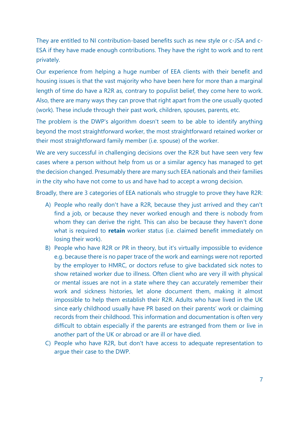They are entitled to NI contribution-based benefits such as new style or c-JSA and c-ESA if they have made enough contributions. They have the right to work and to rent privately.

Our experience from helping a huge number of EEA clients with their benefit and housing issues is that the vast majority who have been here for more than a marginal length of time do have a R2R as, contrary to populist belief, they come here to work. Also, there are many ways they can prove that right apart from the one usually quoted (work). These include through their past work, children, spouses, parents, etc.

The problem is the DWP's algorithm doesn't seem to be able to identify anything beyond the most straightforward worker, the most straightforward retained worker or their most straightforward family member (i.e. spouse) of the worker.

We are very successful in challenging decisions over the R2R but have seen very few cases where a person without help from us or a similar agency has managed to get the decision changed. Presumably there are many such EEA nationals and their families in the city who have not come to us and have had to accept a wrong decision.

Broadly, there are 3 categories of EEA nationals who struggle to prove they have R2R:

- A) People who really don't have a R2R, because they just arrived and they can't find a job, or because they never worked enough and there is nobody from whom they can derive the right. This can also be because they haven't done what is required to **retain** worker status (i.e. claimed benefit immediately on losing their work).
- B) People who have R2R or PR in theory, but it's virtually impossible to evidence e.g. because there is no paper trace of the work and earnings were not reported by the employer to HMRC, or doctors refuse to give backdated sick notes to show retained worker due to illness. Often client who are very ill with physical or mental issues are not in a state where they can accurately remember their work and sickness histories, let alone document them, making it almost impossible to help them establish their R2R. Adults who have lived in the UK since early childhood usually have PR based on their parents' work or claiming records from their childhood. This information and documentation is often very difficult to obtain especially if the parents are estranged from them or live in another part of the UK or abroad or are ill or have died.
- C) People who have R2R, but don't have access to adequate representation to argue their case to the DWP.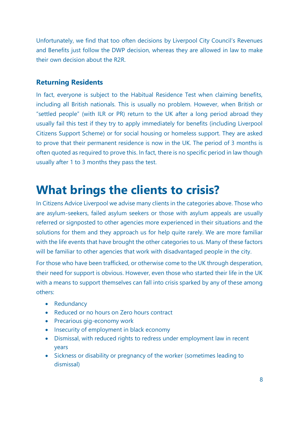Unfortunately, we find that too often decisions by Liverpool City Council's Revenues and Benefits just follow the DWP decision, whereas they are allowed in law to make their own decision about the R2R.

#### <span id="page-8-0"></span>**Returning Residents**

In fact, everyone is subject to the Habitual Residence Test when claiming benefits, including all British nationals. This is usually no problem. However, when British or "settled people" (with ILR or PR) return to the UK after a long period abroad they usually fail this test if they try to apply immediately for benefits (including Liverpool Citizens Support Scheme) or for social housing or homeless support. They are asked to prove that their permanent residence is now in the UK. The period of 3 months is often quoted as required to prove this. In fact, there is no specific period in law though usually after 1 to 3 months they pass the test.

# <span id="page-8-1"></span>**What brings the clients to crisis?**

In Citizens Advice Liverpool we advise many clients in the categories above. Those who are asylum-seekers, failed asylum seekers or those with asylum appeals are usually referred or signposted to other agencies more experienced in their situations and the solutions for them and they approach us for help quite rarely. We are more familiar with the life events that have brought the other categories to us. Many of these factors will be familiar to other agencies that work with disadvantaged people in the city.

For those who have been trafficked, or otherwise come to the UK through desperation, their need for support is obvious. However, even those who started their life in the UK with a means to support themselves can fall into crisis sparked by any of these among others:

- Redundancy
- Reduced or no hours on Zero hours contract
- Precarious gig-economy work
- Insecurity of employment in black economy
- Dismissal, with reduced rights to redress under employment law in recent years
- Sickness or disability or pregnancy of the worker (sometimes leading to dismissal)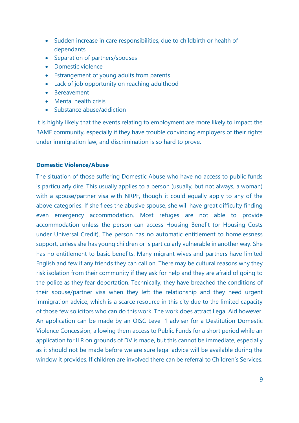- Sudden increase in care responsibilities, due to childbirth or health of dependants
- Separation of partners/spouses
- Domestic violence
- Estrangement of young adults from parents
- Lack of job opportunity on reaching adulthood
- Bereavement
- Mental health crisis
- Substance abuse/addiction

It is highly likely that the events relating to employment are more likely to impact the BAME community, especially if they have trouble convincing employers of their rights under immigration law, and discrimination is so hard to prove.

#### **Domestic Violence/Abuse**

The situation of those suffering Domestic Abuse who have no access to public funds is particularly dire. This usually applies to a person (usually, but not always, a woman) with a spouse/partner visa with NRPF, though it could equally apply to any of the above categories. If she flees the abusive spouse, she will have great difficulty finding even emergency accommodation. Most refuges are not able to provide accommodation unless the person can access Housing Benefit (or Housing Costs under Universal Credit). The person has no automatic entitlement to homelessness support, unless she has young children or is particularly vulnerable in another way. She has no entitlement to basic benefits. Many migrant wives and partners have limited English and few if any friends they can call on. There may be cultural reasons why they risk isolation from their community if they ask for help and they are afraid of going to the police as they fear deportation. Technically, they have breached the conditions of their spouse/partner visa when they left the relationship and they need urgent immigration advice, which is a scarce resource in this city due to the limited capacity of those few solicitors who can do this work. The work does attract Legal Aid however. An application can be made by an OISC Level 1 adviser for a Destitution Domestic Violence Concession, allowing them access to Public Funds for a short period while an application for ILR on grounds of DV is made, but this cannot be immediate, especially as it should not be made before we are sure legal advice will be available during the window it provides. If children are involved there can be referral to Children's Services.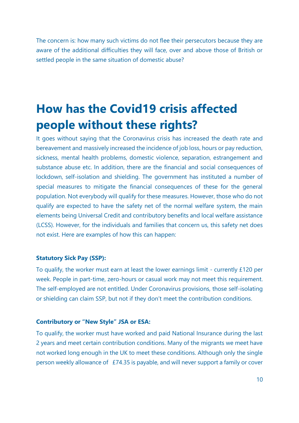The concern is: how many such victims do not flee their persecutors because they are aware of the additional difficulties they will face, over and above those of British or settled people in the same situation of domestic abuse?

# <span id="page-10-0"></span>**How has the Covid19 crisis affected people without these rights?**

It goes without saying that the Coronavirus crisis has increased the death rate and bereavement and massively increased the incidence of job loss, hours or pay reduction, sickness, mental health problems, domestic violence, separation, estrangement and substance abuse etc. In addition, there are the financial and social consequences of lockdown, self-isolation and shielding. The government has instituted a number of special measures to mitigate the financial consequences of these for the general population. Not everybody will qualify for these measures. However, those who do not qualify are expected to have the safety net of the normal welfare system, the main elements being Universal Credit and contributory benefits and local welfare assistance (LCSS). However, for the individuals and families that concern us, this safety net does not exist. Here are examples of how this can happen:

#### **Statutory Sick Pay (SSP):**

To qualify, the worker must earn at least the lower earnings limit - currently £120 per week. People in part-time, zero-hours or casual work may not meet this requirement. The self-employed are not entitled. Under Coronavirus provisions, those self-isolating or shielding can claim SSP, but not if they don't meet the contribution conditions.

#### **Contributory or "New Style" JSA or ESA:**

To qualify, the worker must have worked and paid National Insurance during the last 2 years and meet certain contribution conditions. Many of the migrants we meet have not worked long enough in the UK to meet these conditions. Although only the single person weekly allowance of £74.35 is payable, and will never support a family or cover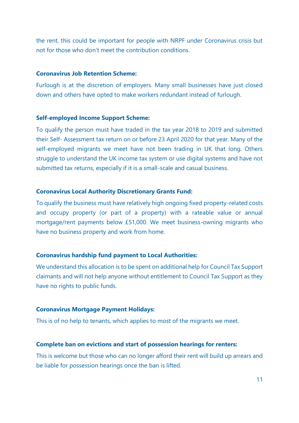the rent, this could be important for people with NRPF under Coronavirus crisis but not for those who don't meet the contribution conditions.

#### **Coronavirus Job Retention Scheme:**

Furlough is at the discretion of employers. Many small businesses have just closed down and others have opted to make workers redundant instead of furlough.

#### **Self-employed Income Support Scheme:**

To qualify the person must have traded in the tax year 2018 to 2019 and submitted their Self- Assessment tax return on or before 23 April 2020 for that year. Many of the self-employed migrants we meet have not been trading in UK that long. Others struggle to understand the UK income tax system or use digital systems and have not submitted tax returns, especially if it is a small-scale and casual business.

#### **Coronavirus Local Authority Discretionary Grants Fund:**

To qualify the business must have relatively high ongoing fixed property-related costs and occupy property (or part of a property) with a rateable value or annual mortgage/rent payments below £51,000. We meet business-owning migrants who have no business property and work from home.

#### **Coronavirus hardship fund payment to Local Authorities:**

We understand this allocation is to be spent on additional help for Council Tax Support claimants and will not help anyone without entitlement to Council Tax Support as they have no rights to public funds.

#### **Coronavirus Mortgage Payment Holidays:**

This is of no help to tenants, which applies to most of the migrants we meet.

#### **Complete ban on evictions and start of possession hearings for renters:**

This is welcome but those who can no longer afford their rent will build up arrears and be liable for possession hearings once the ban is lifted.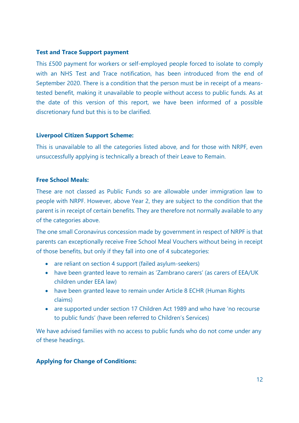#### **Test and Trace Support payment**

This £500 payment for workers or self-employed people forced to isolate to comply with an NHS Test and Trace notification, has been introduced from the end of September 2020. There is a condition that the person must be in receipt of a meanstested benefit, making it unavailable to people without access to public funds. As at the date of this version of this report, we have been informed of a possible discretionary fund but this is to be clarified.

#### **Liverpool Citizen Support Scheme:**

This is unavailable to all the categories listed above, and for those with NRPF, even unsuccessfully applying is technically a breach of their Leave to Remain.

#### **Free School Meals:**

These are not classed as Public Funds so are allowable under immigration law to people with NRPF. However, above Year 2, they are subject to the condition that the parent is in receipt of certain benefits. They are therefore not normally available to any of the categories above.

The one small Coronavirus concession made by government in respect of NRPF is that parents can exceptionally receive Free School Meal Vouchers without being in receipt of those benefits, but only if they fall into one of 4 subcategories:

- are reliant on section 4 support (failed asylum-seekers)
- have been granted leave to remain as 'Zambrano carers' (as carers of EEA/UK children under EEA law)
- have been granted leave to remain under Article 8 ECHR (Human Rights claims)
- are supported under section 17 Children Act 1989 and who have 'no recourse to public funds' (have been referred to Children's Services)

We have advised families with no access to public funds who do not come under any of these headings.

#### **Applying for Change of Conditions:**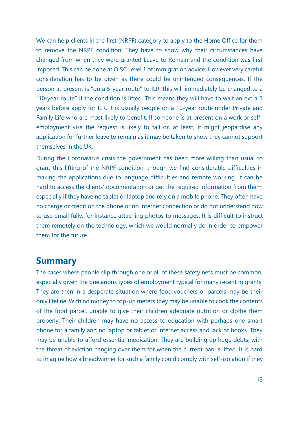We can help clients in the first (NRPF) category to apply to the Home Office for them to remove the NRPF condition. They have to show why their circumstances have changed from when they were granted Leave to Remain and the condition was first imposed. This can be done at OISC Level 1 of immigration advice. However very careful consideration has to be given as there could be unintended consequences. If the person at present is "on a 5-year route" to ILR, this will immediately be changed to a "10-year route" if the condition is lifted. This means they will have to wait an extra 5 years before apply for ILR. It is usually people on a 10-year route under Private and Family Life who are most likely to benefit. If someone is at present on a work or selfemployment visa the request is likely to fail or, at least, it might jeopardise any application for further leave to remain as it may be taken to show they cannot support themselves in the UK.

During the Coronavirus crisis the government has been more willing than usual to grant this lifting of the NRPF condition, though we find considerable difficulties in making the applications due to language difficulties and remote working. It can be hard to access the clients' documentation or get the required information from them, especially if they have no tablet or laptop and rely on a mobile phone. They often have no charge or credit on the phone or no internet connection or do not understand how to use email fully, for instance attaching photos to messages. It is difficult to instruct them remotely on the technology, which we would normally do in order to empower them for the future.

### <span id="page-13-0"></span>**Summary**

The cases where people slip through one or all of these safety nets must be common, especially given the precarious types of employment typical for many recent migrants. They are then in a desperate situation where food vouchers or parcels may be their only lifeline. With no money to top-up meters they may be unable to cook the contents of the food parcel, unable to give their children adequate nutrition or clothe them properly. Their children may have no access to education with perhaps one smart phone for a family and no laptop or tablet or internet access and lack of books. They may be unable to afford essential medication. They are building up huge debts, with the threat of eviction hanging over them for when the current ban is lifted. It is hard to imagine how a breadwinner for such a family could comply with self-isolation if they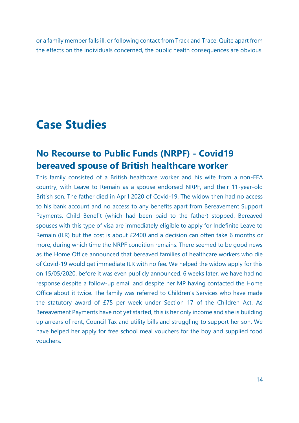or a family member falls ill, or following contact from Track and Trace. Quite apart from the effects on the individuals concerned, the public health consequences are obvious.

# <span id="page-14-0"></span>**Case Studies**

# <span id="page-14-1"></span>**No Recourse to Public Funds (NRPF) - Covid19 bereaved spouse of British healthcare worker**

This family consisted of a British healthcare worker and his wife from a non-EEA country, with Leave to Remain as a spouse endorsed NRPF, and their 11-year-old British son. The father died in April 2020 of Covid-19. The widow then had no access to his bank account and no access to any benefits apart from Bereavement Support Payments. Child Benefit (which had been paid to the father) stopped. Bereaved spouses with this type of visa are immediately eligible to apply for Indefinite Leave to Remain (ILR) but the cost is about £2400 and a decision can often take 6 months or more, during which time the NRPF condition remains. There seemed to be good news as the Home Office announced that bereaved families of healthcare workers who die of Covid-19 would get immediate ILR with no fee. We helped the widow apply for this on 15/05/2020, before it was even publicly announced. 6 weeks later, we have had no response despite a follow-up email and despite her MP having contacted the Home Office about it twice. The family was referred to Children's Services who have made the statutory award of £75 per week under Section 17 of the Children Act. As Bereavement Payments have not yet started, this is her only income and she is building up arrears of rent, Council Tax and utility bills and struggling to support her son. We have helped her apply for free school meal vouchers for the boy and supplied food vouchers.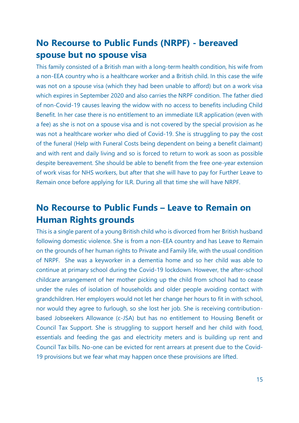# <span id="page-15-0"></span>**No Recourse to Public Funds (NRPF) - bereaved spouse but no spouse visa**

This family consisted of a British man with a long-term health condition, his wife from a non-EEA country who is a healthcare worker and a British child. In this case the wife was not on a spouse visa (which they had been unable to afford) but on a work visa which expires in September 2020 and also carries the NRPF condition. The father died of non-Covid-19 causes leaving the widow with no access to benefits including Child Benefit. In her case there is no entitlement to an immediate ILR application (even with a fee) as she is not on a spouse visa and is not covered by the special provision as he was not a healthcare worker who died of Covid-19. She is struggling to pay the cost of the funeral (Help with Funeral Costs being dependent on being a benefit claimant) and with rent and daily living and so is forced to return to work as soon as possible despite bereavement. She should be able to benefit from the free one-year extension of work visas for NHS workers, but after that she will have to pay for Further Leave to Remain once before applying for ILR. During all that time she will have NRPF.

# <span id="page-15-1"></span>**No Recourse to Public Funds – Leave to Remain on Human Rights grounds**

This is a single parent of a young British child who is divorced from her British husband following domestic violence. She is from a non-EEA country and has Leave to Remain on the grounds of her human rights to Private and Family life, with the usual condition of NRPF. She was a keyworker in a dementia home and so her child was able to continue at primary school during the Covid-19 lockdown. However, the after-school childcare arrangement of her mother picking up the child from school had to cease under the rules of isolation of households and older people avoiding contact with grandchildren. Her employers would not let her change her hours to fit in with school, nor would they agree to furlough, so she lost her job. She is receiving contributionbased Jobseekers Allowance (c-JSA) but has no entitlement to Housing Benefit or Council Tax Support. She is struggling to support herself and her child with food, essentials and feeding the gas and electricity meters and is building up rent and Council Tax bills. No-one can be evicted for rent arrears at present due to the Covid-19 provisions but we fear what may happen once these provisions are lifted.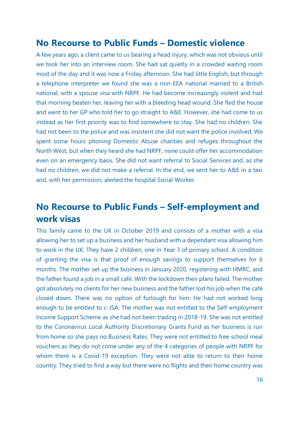### <span id="page-16-0"></span>**No Recourse to Public Funds – Domestic violence**

A few years ago, a client came to us bearing a head injury, which was not obvious until we took her into an interview room. She had sat quietly in a crowded waiting room most of the day and it was now a Friday afternoon. She had little English, but through a telephone interpreter we found she was a non-EEA national married to a British national, with a spouse visa with NRPF. He had become increasingly violent and had that morning beaten her, leaving her with a bleeding head wound. She fled the house and went to her GP who told her to go straight to A&E. However, she had come to us instead as her first priority was to find somewhere to stay. She had no children. She had not been to the police and was insistent she did not want the police involved. We spent some hours phoning Domestic Abuse charities and refuges throughout the North West, but when they heard she had NRPF, none could offer her accommodation even on an emergency basis. She did not want referral to Social Services and, as she had no children, we did not make a referral. In the end, we sent her to A&E in a taxi and, with her permission, alerted the hospital Social Worker.

# <span id="page-16-1"></span>**No Recourse to Public Funds – Self-employment and work visas**

This family came to the UK in October 2019 and consists of a mother with a visa allowing her to set up a business and her husband with a dependant visa allowing him to work in the UK. They have 2 children, one in Year 3 of primary school. A condition of granting the visa is that proof of enough savings to support themselves for 6 months. The mother set up the business in January 2020, registering with HMRC, and the father found a job in a small café. With the lockdown their plans failed. The mother got absolutely no clients for her new business and the father lost his job when the café closed down. There was no option of furlough for him. He had not worked long enough to be entitled to c-JSA. The mother was not entitled to the Self-employment Income Support Scheme as she had not been trading in 2018-19. She was not entitled to the Coronavirus Local Authority Discretionary Grants Fund as her business is run from home so she pays no Business Rates. They were not entitled to free school meal vouchers as they do not come under any of the 4 categories of people with NRPF for whom there is a Covid-19 exception. They were not able to return to their home country. They tried to find a way but there were no flights and their home country was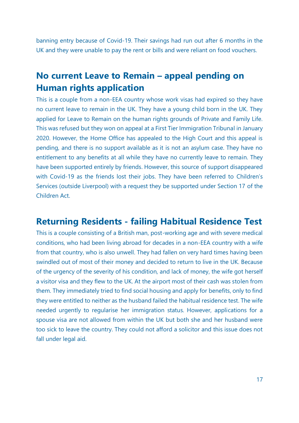banning entry because of Covid-19. Their savings had run out after 6 months in the UK and they were unable to pay the rent or bills and were reliant on food vouchers.

# <span id="page-17-0"></span>**No current Leave to Remain – appeal pending on Human rights application**

This is a couple from a non-EEA country whose work visas had expired so they have no current leave to remain in the UK. They have a young child born in the UK. They applied for Leave to Remain on the human rights grounds of Private and Family Life. This was refused but they won on appeal at a First Tier Immigration Tribunal in January 2020. However, the Home Office has appealed to the High Court and this appeal is pending, and there is no support available as it is not an asylum case. They have no entitlement to any benefits at all while they have no currently leave to remain. They have been supported entirely by friends. However, this source of support disappeared with Covid-19 as the friends lost their jobs. They have been referred to Children's Services (outside Liverpool) with a request they be supported under Section 17 of the Children Act.

## <span id="page-17-1"></span>**Returning Residents - failing Habitual Residence Test**

This is a couple consisting of a British man, post-working age and with severe medical conditions, who had been living abroad for decades in a non-EEA country with a wife from that country, who is also unwell. They had fallen on very hard times having been swindled out of most of their money and decided to return to live in the UK. Because of the urgency of the severity of his condition, and lack of money, the wife got herself a visitor visa and they flew to the UK. At the airport most of their cash was stolen from them. They immediately tried to find social housing and apply for benefits, only to find they were entitled to neither as the husband failed the habitual residence test. The wife needed urgently to regularise her immigration status. However, applications for a spouse visa are not allowed from within the UK but both she and her husband were too sick to leave the country. They could not afford a solicitor and this issue does not fall under legal aid.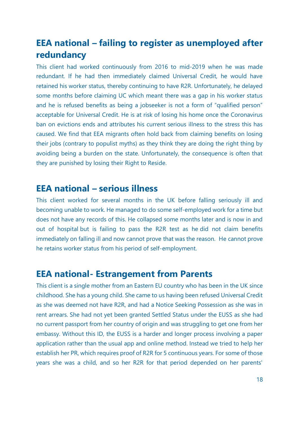# <span id="page-18-0"></span>**EEA national – failing to register as unemployed after redundancy**

This client had worked continuously from 2016 to mid-2019 when he was made redundant. If he had then immediately claimed Universal Credit, he would have retained his worker status, thereby continuing to have R2R. Unfortunately, he delayed some months before claiming UC which meant there was a gap in his worker status and he is refused benefits as being a jobseeker is not a form of "qualified person" acceptable for Universal Credit. He is at risk of losing his home once the Coronavirus ban on evictions ends and attributes his current serious illness to the stress this has caused. We find that EEA migrants often hold back from claiming benefits on losing their jobs (contrary to populist myths) as they think they are doing the right thing by avoiding being a burden on the state. Unfortunately, the consequence is often that they are punished by losing their Right to Reside.

### <span id="page-18-1"></span>**EEA national – serious illness**

This client worked for several months in the UK before falling seriously ill and becoming unable to work. He managed to do some self-employed work for a time but does not have any records of this. He collapsed some months later and is now in and out of hospital but is failing to pass the R2R test as he did not claim benefits immediately on falling ill and now cannot prove that was the reason. He cannot prove he retains worker status from his period of self-employment.

# <span id="page-18-2"></span>**EEA national- Estrangement from Parents**

This client is a single mother from an Eastern EU country who has been in the UK since childhood. She has a young child. She came to us having been refused Universal Credit as she was deemed not have R2R, and had a Notice Seeking Possession as she was in rent arrears. She had not yet been granted Settled Status under the EUSS as she had no current passport from her country of origin and was struggling to get one from her embassy. Without this ID, the EUSS is a harder and longer process involving a paper application rather than the usual app and online method. Instead we tried to help her establish her PR, which requires proof of R2R for 5 continuous years. For some of those years she was a child, and so her R2R for that period depended on her parents'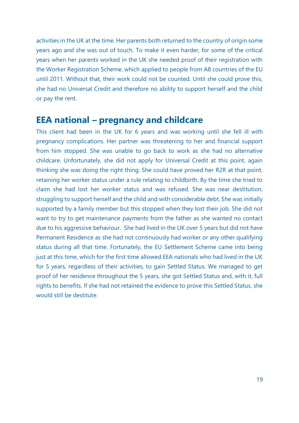activities in the UK at the time. Her parents both returned to the country of origin some years ago and she was out of touch. To make it even harder, for some of the critical years when her parents worked in the UK she needed proof of their registration with the Worker Registration Scheme, which applied to people from A8 countries of the EU until 2011. Without that, their work could not be counted. Until she could prove this, she had no Universal Credit and therefore no ability to support herself and the child or pay the rent.

### <span id="page-19-0"></span>**EEA national – pregnancy and childcare**

This client had been in the UK for 6 years and was working until she fell ill with pregnancy complications. Her partner was threatening to her and financial support from him stopped. She was unable to go back to work as she had no alternative childcare. Unfortunately, she did not apply for Universal Credit at this point, again thinking she was doing the right thing. She could have proved her R2R at that point, retaining her worker status under a rule relating to childbirth. By the time she tried to claim she had lost her worker status and was refused. She was near destitution, struggling to support herself and the child and with considerable debt. She was initially supported by a family member but this stopped when they lost their job. She did not want to try to get maintenance payments from the father as she wanted no contact due to his aggressive behaviour. She had lived in the UK over 5 years but did not have Permanent Residence as she had not continuously had worker or any other qualifying status during all that time. Fortunately, the EU Settlement Scheme came into being just at this time, which for the first time allowed EEA nationals who had lived in the UK for 5 years, regardless of their activities, to gain Settled Status. We managed to get proof of her residence throughout the 5 years, she got Settled Status and, with it, full rights to benefits. If she had not retained the evidence to prove this Settled Status, she would still be destitute.